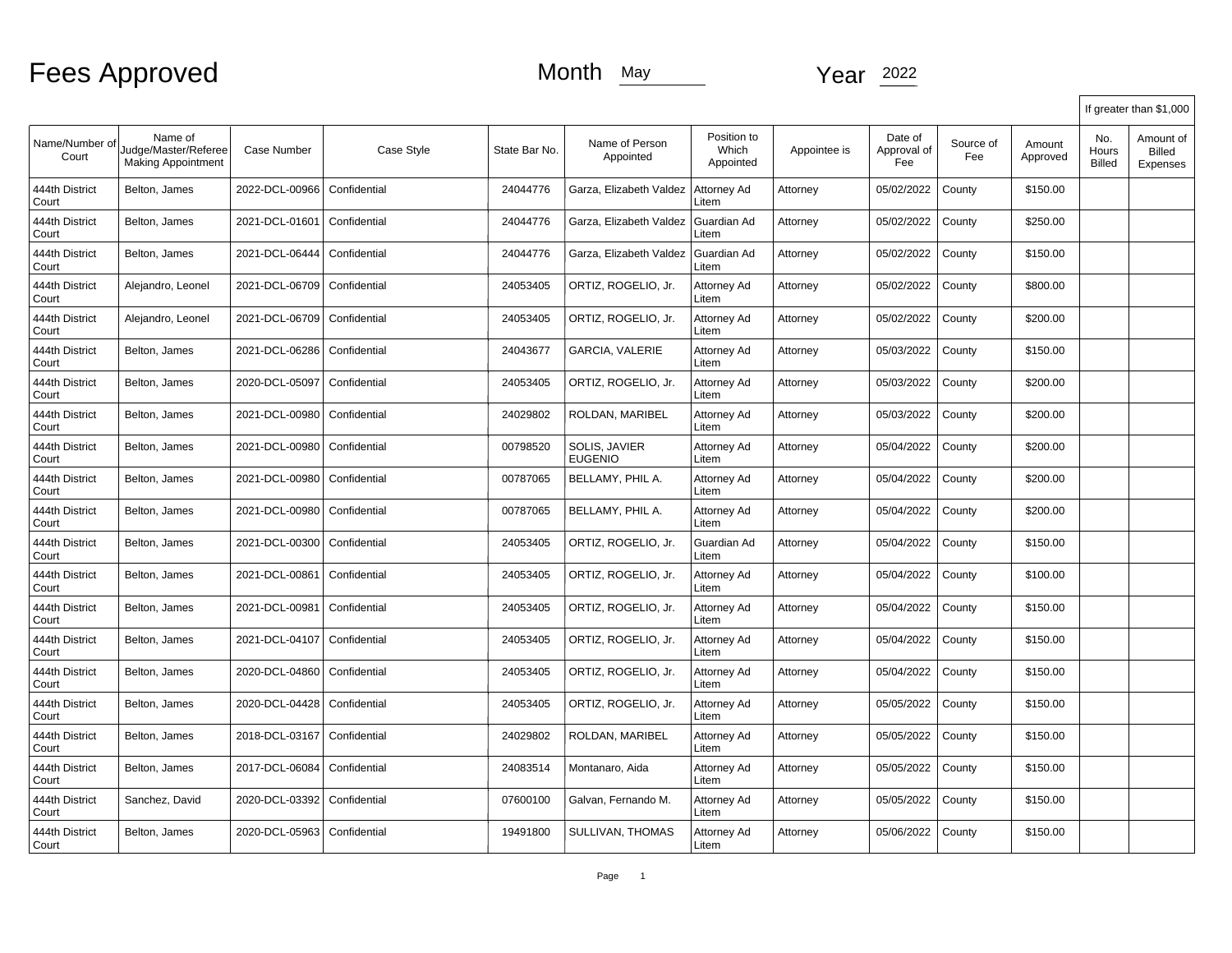|                         |                                                              |                    |              |               |                                 |                                   |              |                               |                  |                    |                        | If greater than \$1,000                |
|-------------------------|--------------------------------------------------------------|--------------------|--------------|---------------|---------------------------------|-----------------------------------|--------------|-------------------------------|------------------|--------------------|------------------------|----------------------------------------|
| Name/Number of<br>Court | Name of<br>Judge/Master/Referee<br><b>Making Appointment</b> | <b>Case Number</b> | Case Style   | State Bar No. | Name of Person<br>Appointed     | Position to<br>Which<br>Appointed | Appointee is | Date of<br>Approval of<br>Fee | Source of<br>Fee | Amount<br>Approved | No.<br>Hours<br>Billed | Amount of<br><b>Billed</b><br>Expenses |
| 444th District<br>Court | Belton, James                                                | 2022-DCL-00966     | Confidential | 24044776      | Garza, Elizabeth Valdez         | Attorney Ad<br>Litem              | Attorney     | 05/02/2022                    | County           | \$150.00           |                        |                                        |
| 444th District<br>Court | Belton, James                                                | 2021-DCL-01601     | Confidential | 24044776      | Garza, Elizabeth Valdez         | Guardian Ad<br>Litem              | Attorney     | 05/02/2022                    | County           | \$250.00           |                        |                                        |
| 444th District<br>Court | Belton, James                                                | 2021-DCL-06444     | Confidential | 24044776      | Garza, Elizabeth Valdez         | Guardian Ad<br>Litem              | Attorney     | 05/02/2022                    | County           | \$150.00           |                        |                                        |
| 444th District<br>Court | Alejandro, Leonel                                            | 2021-DCL-06709     | Confidential | 24053405      | ORTIZ, ROGELIO, Jr.             | Attorney Ad<br>Litem              | Attorney     | 05/02/2022                    | County           | \$800.00           |                        |                                        |
| 444th District<br>Court | Alejandro, Leonel                                            | 2021-DCL-06709     | Confidential | 24053405      | ORTIZ, ROGELIO, Jr.             | Attorney Ad<br>Litem              | Attorney     | 05/02/2022                    | County           | \$200.00           |                        |                                        |
| 444th District<br>Court | Belton, James                                                | 2021-DCL-06286     | Confidential | 24043677      | <b>GARCIA, VALERIE</b>          | Attorney Ad<br>Litem              | Attorney     | 05/03/2022                    | County           | \$150.00           |                        |                                        |
| 444th District<br>Court | Belton, James                                                | 2020-DCL-05097     | Confidential | 24053405      | ORTIZ, ROGELIO, Jr.             | Attorney Ad<br>Litem              | Attorney     | 05/03/2022                    | County           | \$200.00           |                        |                                        |
| 444th District<br>Court | Belton, James                                                | 2021-DCL-00980     | Confidential | 24029802      | ROLDAN, MARIBEL                 | Attorney Ad<br>Litem              | Attorney     | 05/03/2022                    | County           | \$200.00           |                        |                                        |
| 444th District<br>Court | Belton, James                                                | 2021-DCL-00980     | Confidential | 00798520      | SOLIS, JAVIER<br><b>EUGENIO</b> | Attorney Ad<br>Litem              | Attorney     | 05/04/2022                    | County           | \$200.00           |                        |                                        |
| 444th District<br>Court | Belton, James                                                | 2021-DCL-00980     | Confidential | 00787065      | BELLAMY, PHIL A.                | Attorney Ad<br>Litem              | Attorney     | 05/04/2022                    | County           | \$200.00           |                        |                                        |
| 444th District<br>Court | Belton, James                                                | 2021-DCL-00980     | Confidential | 00787065      | BELLAMY, PHIL A.                | Attorney Ad<br>Litem              | Attorney     | 05/04/2022                    | County           | \$200.00           |                        |                                        |
| 444th District<br>Court | Belton, James                                                | 2021-DCL-00300     | Confidential | 24053405      | ORTIZ, ROGELIO, Jr.             | Guardian Ad<br>Litem              | Attorney     | 05/04/2022                    | County           | \$150.00           |                        |                                        |
| 444th District<br>Court | Belton, James                                                | 2021-DCL-00861     | Confidential | 24053405      | ORTIZ, ROGELIO, Jr.             | Attorney Ad<br>Litem              | Attorney     | 05/04/2022                    | County           | \$100.00           |                        |                                        |
| 444th District<br>Court | Belton, James                                                | 2021-DCL-00981     | Confidential | 24053405      | ORTIZ, ROGELIO, Jr.             | Attorney Ad<br>Litem              | Attorney     | 05/04/2022                    | County           | \$150.00           |                        |                                        |
| 444th District<br>Court | Belton, James                                                | 2021-DCL-04107     | Confidential | 24053405      | ORTIZ, ROGELIO, Jr.             | Attorney Ad<br>Litem              | Attorney     | 05/04/2022                    | County           | \$150.00           |                        |                                        |
| 444th District<br>Court | Belton, James                                                | 2020-DCL-04860     | Confidential | 24053405      | ORTIZ, ROGELIO, Jr.             | Attorney Ad<br>Litem              | Attorney     | 05/04/2022                    | County           | \$150.00           |                        |                                        |
| 444th District<br>Court | Belton, James                                                | 2020-DCL-04428     | Confidential | 24053405      | ORTIZ, ROGELIO, Jr.             | Attorney Ad<br>Litem              | Attorney     | 05/05/2022                    | County           | \$150.00           |                        |                                        |
| 444th District<br>Court | Belton, James                                                | 2018-DCL-03167     | Confidential | 24029802      | ROLDAN, MARIBEL                 | Attorney Ad<br>Litem              | Attorney     | 05/05/2022                    | County           | \$150.00           |                        |                                        |
| 444th District<br>Court | Belton, James                                                | 2017-DCL-06084     | Confidential | 24083514      | Montanaro, Aida                 | Attorney Ad<br>Litem              | Attorney     | 05/05/2022                    | County           | \$150.00           |                        |                                        |
| 444th District<br>Court | Sanchez, David                                               | 2020-DCL-03392     | Confidential | 07600100      | Galvan, Fernando M.             | Attorney Ad<br>Litem              | Attorney     | 05/05/2022                    | County           | \$150.00           |                        |                                        |
| 444th District<br>Court | Belton, James                                                | 2020-DCL-05963     | Confidential | 19491800      | SULLIVAN, THOMAS                | Attorney Ad<br>Litem              | Attorney     | 05/06/2022                    | County           | \$150.00           |                        |                                        |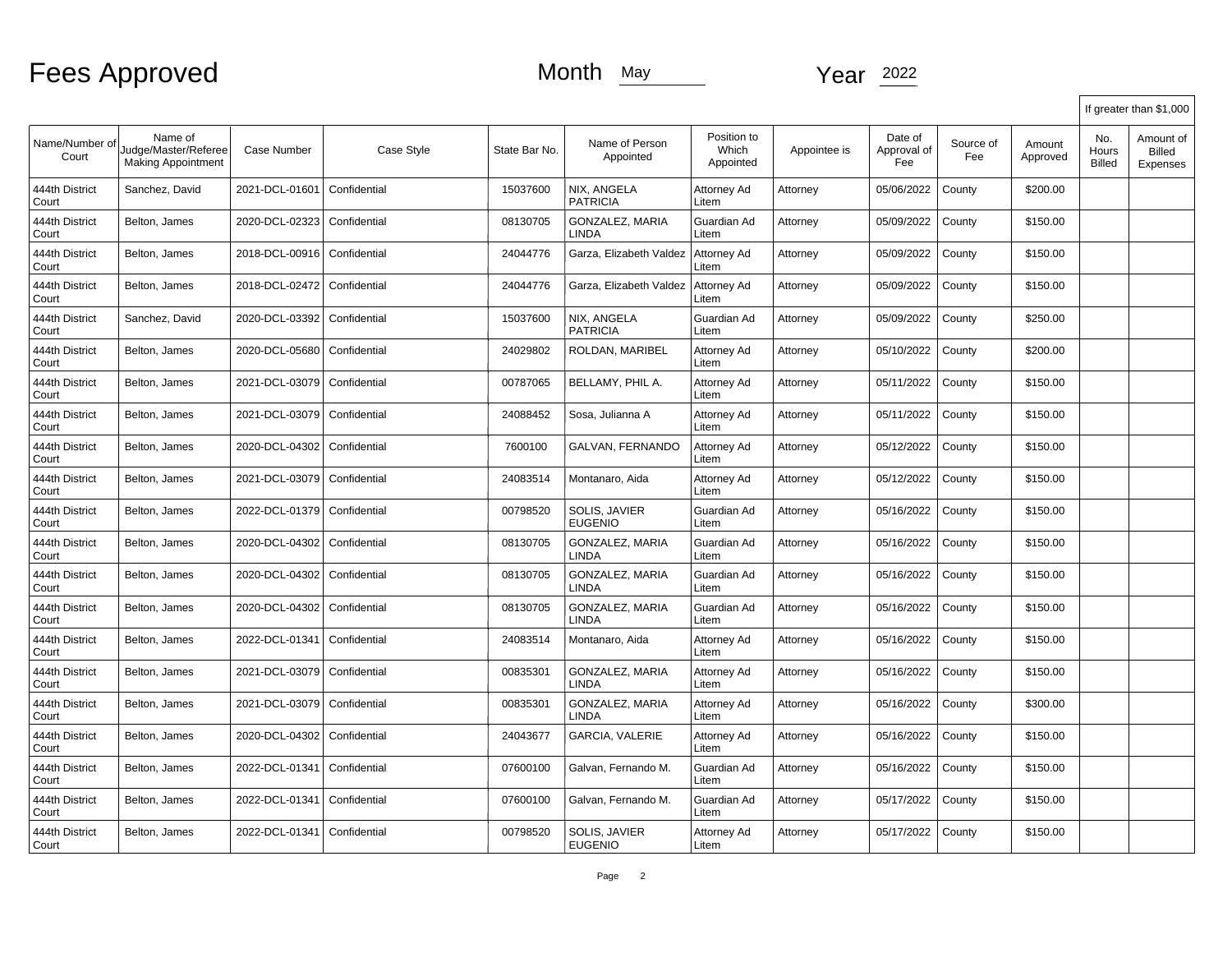|                         |                                                              |                |              |               |                                        |                                   |              |                               |                  |                    |                               | If greater than \$1,000                |
|-------------------------|--------------------------------------------------------------|----------------|--------------|---------------|----------------------------------------|-----------------------------------|--------------|-------------------------------|------------------|--------------------|-------------------------------|----------------------------------------|
| Name/Number of<br>Court | Name of<br>Judge/Master/Referee<br><b>Making Appointment</b> | Case Number    | Case Style   | State Bar No. | Name of Person<br>Appointed            | Position to<br>Which<br>Appointed | Appointee is | Date of<br>Approval of<br>Fee | Source of<br>Fee | Amount<br>Approved | No.<br>Hours<br><b>Billed</b> | Amount of<br><b>Billed</b><br>Expenses |
| 444th District<br>Court | Sanchez, David                                               | 2021-DCL-01601 | Confidential | 15037600      | NIX, ANGELA<br><b>PATRICIA</b>         | Attorney Ad<br>Litem              | Attorney     | 05/06/2022                    | County           | \$200.00           |                               |                                        |
| 444th District<br>Court | Belton, James                                                | 2020-DCL-02323 | Confidential | 08130705      | <b>GONZALEZ, MARIA</b><br><b>LINDA</b> | Guardian Ad<br>Litem              | Attorney     | 05/09/2022                    | County           | \$150.00           |                               |                                        |
| 444th District<br>Court | Belton, James                                                | 2018-DCL-00916 | Confidential | 24044776      | Garza, Elizabeth Valdez                | Attorney Ad<br>Litem              | Attorney     | 05/09/2022                    | County           | \$150.00           |                               |                                        |
| 444th District<br>Court | Belton, James                                                | 2018-DCL-02472 | Confidential | 24044776      | Garza, Elizabeth Valdez                | Attorney Ad<br>Litem              | Attorney     | 05/09/2022                    | County           | \$150.00           |                               |                                        |
| 444th District<br>Court | Sanchez, David                                               | 2020-DCL-03392 | Confidential | 15037600      | NIX, ANGELA<br><b>PATRICIA</b>         | Guardian Ad<br>Litem              | Attorney     | 05/09/2022                    | County           | \$250.00           |                               |                                        |
| 444th District<br>Court | Belton, James                                                | 2020-DCL-05680 | Confidential | 24029802      | ROLDAN, MARIBEL                        | Attorney Ad<br>Litem              | Attorney     | 05/10/2022                    | County           | \$200.00           |                               |                                        |
| 444th District<br>Court | Belton, James                                                | 2021-DCL-03079 | Confidential | 00787065      | BELLAMY, PHIL A.                       | Attorney Ad<br>Litem              | Attorney     | 05/11/2022                    | County           | \$150.00           |                               |                                        |
| 444th District<br>Court | Belton, James                                                | 2021-DCL-03079 | Confidential | 24088452      | Sosa, Julianna A                       | Attorney Ad<br>Litem              | Attorney     | 05/11/2022                    | County           | \$150.00           |                               |                                        |
| 444th District<br>Court | Belton, James                                                | 2020-DCL-04302 | Confidential | 7600100       | GALVAN, FERNANDO                       | Attorney Ad<br>Litem              | Attorney     | 05/12/2022                    | County           | \$150.00           |                               |                                        |
| 444th District<br>Court | Belton, James                                                | 2021-DCL-03079 | Confidential | 24083514      | Montanaro, Aida                        | Attorney Ad<br>Litem              | Attorney     | 05/12/2022                    | County           | \$150.00           |                               |                                        |
| 444th District<br>Court | Belton, James                                                | 2022-DCL-01379 | Confidential | 00798520      | SOLIS, JAVIER<br><b>EUGENIO</b>        | Guardian Ad<br>Litem              | Attorney     | 05/16/2022                    | County           | \$150.00           |                               |                                        |
| 444th District<br>Court | Belton, James                                                | 2020-DCL-04302 | Confidential | 08130705      | GONZALEZ, MARIA<br><b>LINDA</b>        | Guardian Ad<br>Litem              | Attorney     | 05/16/2022                    | County           | \$150.00           |                               |                                        |
| 444th District<br>Court | Belton, James                                                | 2020-DCL-04302 | Confidential | 08130705      | <b>GONZALEZ, MARIA</b><br><b>LINDA</b> | Guardian Ad<br>Litem              | Attorney     | 05/16/2022                    | County           | \$150.00           |                               |                                        |
| 444th District<br>Court | Belton, James                                                | 2020-DCL-04302 | Confidential | 08130705      | <b>GONZALEZ, MARIA</b><br>LINDA        | Guardian Ad<br>Litem              | Attorney     | 05/16/2022                    | County           | \$150.00           |                               |                                        |
| 444th District<br>Court | Belton, James                                                | 2022-DCL-01341 | Confidential | 24083514      | Montanaro, Aida                        | Attorney Ad<br>Litem              | Attorney     | 05/16/2022                    | County           | \$150.00           |                               |                                        |
| 444th District<br>Court | Belton, James                                                | 2021-DCL-03079 | Confidential | 00835301      | <b>GONZALEZ, MARIA</b><br>LINDA        | Attorney Ad<br>Litem              | Attorney     | 05/16/2022                    | County           | \$150.00           |                               |                                        |
| 444th District<br>Court | Belton, James                                                | 2021-DCL-03079 | Confidential | 00835301      | <b>GONZALEZ, MARIA</b><br>LINDA        | Attorney Ad<br>Litem              | Attorney     | 05/16/2022                    | County           | \$300.00           |                               |                                        |
| 444th District<br>Court | Belton, James                                                | 2020-DCL-04302 | Confidential | 24043677      | <b>GARCIA, VALERIE</b>                 | Attorney Ad<br>Litem              | Attorney     | 05/16/2022                    | County           | \$150.00           |                               |                                        |
| 444th District<br>Court | Belton, James                                                | 2022-DCL-01341 | Confidential | 07600100      | Galvan, Fernando M.                    | Guardian Ad<br>Litem              | Attorney     | 05/16/2022                    | County           | \$150.00           |                               |                                        |
| 444th District<br>Court | Belton, James                                                | 2022-DCL-01341 | Confidential | 07600100      | Galvan, Fernando M.                    | Guardian Ad<br>Litem              | Attorney     | 05/17/2022                    | County           | \$150.00           |                               |                                        |
| 444th District<br>Court | Belton, James                                                | 2022-DCL-01341 | Confidential | 00798520      | SOLIS, JAVIER<br><b>EUGENIO</b>        | Attorney Ad<br>Litem              | Attorney     | 05/17/2022                    | County           | \$150.00           |                               |                                        |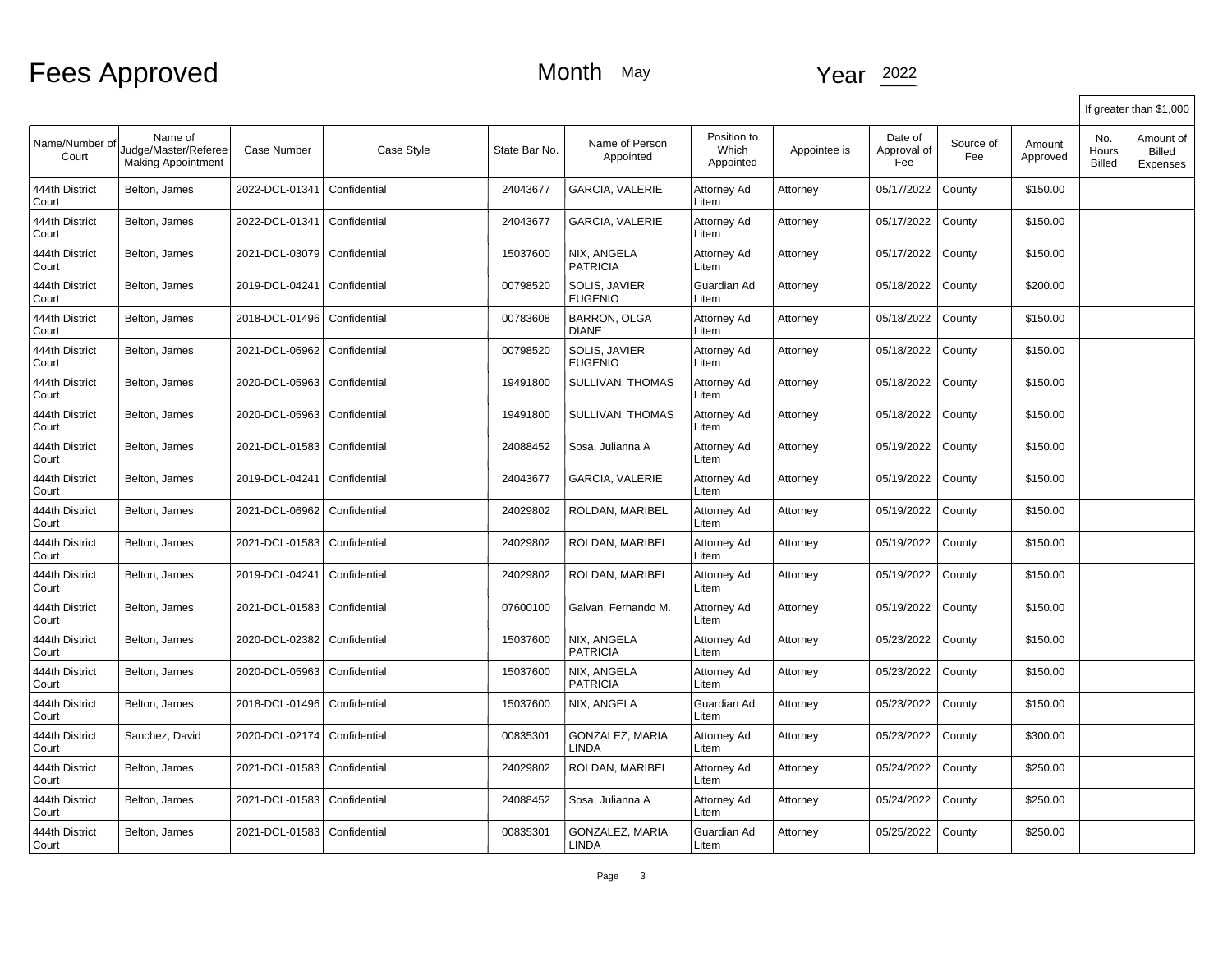|                         |                                                              |                    |              |               |                                     |                                   |              |                               |                  |                    |                               | If greater than \$1,000                |
|-------------------------|--------------------------------------------------------------|--------------------|--------------|---------------|-------------------------------------|-----------------------------------|--------------|-------------------------------|------------------|--------------------|-------------------------------|----------------------------------------|
| Name/Number of<br>Court | Name of<br>Judge/Master/Referee<br><b>Making Appointment</b> | <b>Case Number</b> | Case Style   | State Bar No. | Name of Person<br>Appointed         | Position to<br>Which<br>Appointed | Appointee is | Date of<br>Approval of<br>Fee | Source of<br>Fee | Amount<br>Approved | No.<br>Hours<br><b>Billed</b> | Amount of<br><b>Billed</b><br>Expenses |
| 444th District<br>Court | Belton, James                                                | 2022-DCL-01341     | Confidential | 24043677      | <b>GARCIA, VALERIE</b>              | Attorney Ad<br>Litem              | Attorney     | 05/17/2022                    | County           | \$150.00           |                               |                                        |
| 444th District<br>Court | Belton, James                                                | 2022-DCL-01341     | Confidential | 24043677      | <b>GARCIA, VALERIE</b>              | Attorney Ad<br>Litem              | Attorney     | 05/17/2022                    | County           | \$150.00           |                               |                                        |
| 444th District<br>Court | Belton, James                                                | 2021-DCL-03079     | Confidential | 15037600      | NIX. ANGELA<br><b>PATRICIA</b>      | Attorney Ad<br>Litem              | Attorney     | 05/17/2022                    | County           | \$150.00           |                               |                                        |
| 444th District<br>Court | Belton, James                                                | 2019-DCL-04241     | Confidential | 00798520      | SOLIS, JAVIER<br>EUGENIO            | Guardian Ad<br>Litem              | Attorney     | 05/18/2022                    | County           | \$200.00           |                               |                                        |
| 444th District<br>Court | Belton, James                                                | 2018-DCL-01496     | Confidential | 00783608      | <b>BARRON, OLGA</b><br><b>DIANE</b> | Attorney Ad<br>Litem              | Attorney     | 05/18/2022                    | County           | \$150.00           |                               |                                        |
| 444th District<br>Court | Belton, James                                                | 2021-DCL-06962     | Confidential | 00798520      | SOLIS, JAVIER<br><b>EUGENIO</b>     | Attorney Ad<br>Litem              | Attorney     | 05/18/2022                    | County           | \$150.00           |                               |                                        |
| 444th District<br>Court | Belton, James                                                | 2020-DCL-05963     | Confidential | 19491800      | SULLIVAN, THOMAS                    | Attorney Ad<br>Litem              | Attorney     | 05/18/2022                    | County           | \$150.00           |                               |                                        |
| 444th District<br>Court | Belton, James                                                | 2020-DCL-05963     | Confidential | 19491800      | SULLIVAN, THOMAS                    | Attorney Ad<br>Litem              | Attorney     | 05/18/2022                    | County           | \$150.00           |                               |                                        |
| 444th District<br>Court | Belton, James                                                | 2021-DCL-01583     | Confidential | 24088452      | Sosa, Julianna A                    | Attorney Ad<br>Litem              | Attorney     | 05/19/2022                    | County           | \$150.00           |                               |                                        |
| 444th District<br>Court | Belton, James                                                | 2019-DCL-04241     | Confidential | 24043677      | <b>GARCIA, VALERIE</b>              | Attorney Ad<br>Litem              | Attorney     | 05/19/2022                    | County           | \$150.00           |                               |                                        |
| 444th District<br>Court | Belton, James                                                | 2021-DCL-06962     | Confidential | 24029802      | ROLDAN, MARIBEL                     | Attorney Ad<br>Litem              | Attorney     | 05/19/2022                    | County           | \$150.00           |                               |                                        |
| 444th District<br>Court | Belton, James                                                | 2021-DCL-01583     | Confidential | 24029802      | ROLDAN, MARIBEL                     | Attorney Ad<br>Litem              | Attorney     | 05/19/2022                    | County           | \$150.00           |                               |                                        |
| 444th District<br>Court | Belton, James                                                | 2019-DCL-04241     | Confidential | 24029802      | ROLDAN, MARIBEL                     | Attorney Ad<br>Litem              | Attorney     | 05/19/2022                    | County           | \$150.00           |                               |                                        |
| 444th District<br>Court | Belton, James                                                | 2021-DCL-01583     | Confidential | 07600100      | Galvan, Fernando M.                 | Attorney Ad<br>Litem              | Attorney     | 05/19/2022                    | County           | \$150.00           |                               |                                        |
| 444th District<br>Court | Belton, James                                                | 2020-DCL-02382     | Confidential | 15037600      | NIX, ANGELA<br><b>PATRICIA</b>      | Attorney Ad<br>Litem              | Attorney     | 05/23/2022                    | County           | \$150.00           |                               |                                        |
| 444th District<br>Court | Belton, James                                                | 2020-DCL-05963     | Confidential | 15037600      | NIX, ANGELA<br>PATRICIA             | Attorney Ad<br>Litem              | Attorney     | 05/23/2022                    | County           | \$150.00           |                               |                                        |
| 444th District<br>Court | Belton, James                                                | 2018-DCL-01496     | Confidential | 15037600      | NIX. ANGELA                         | Guardian Ad<br>Litem              | Attorney     | 05/23/2022                    | County           | \$150.00           |                               |                                        |
| 444th District<br>Court | Sanchez, David                                               | 2020-DCL-02174     | Confidential | 00835301      | GONZALEZ, MARIA<br><b>LINDA</b>     | Attorney Ad<br>Litem              | Attorney     | 05/23/2022                    | County           | \$300.00           |                               |                                        |
| 444th District<br>Court | Belton, James                                                | 2021-DCL-01583     | Confidential | 24029802      | ROLDAN, MARIBEL                     | Attorney Ad<br>Litem              | Attorney     | 05/24/2022                    | County           | \$250.00           |                               |                                        |
| 444th District<br>Court | Belton, James                                                | 2021-DCL-01583     | Confidential | 24088452      | Sosa, Julianna A                    | Attorney Ad<br>Litem              | Attorney     | 05/24/2022                    | County           | \$250.00           |                               |                                        |
| 444th District<br>Court | Belton, James                                                | 2021-DCL-01583     | Confidential | 00835301      | GONZALEZ, MARIA<br>LINDA            | Guardian Ad<br>Litem              | Attorney     | 05/25/2022                    | County           | \$250.00           |                               |                                        |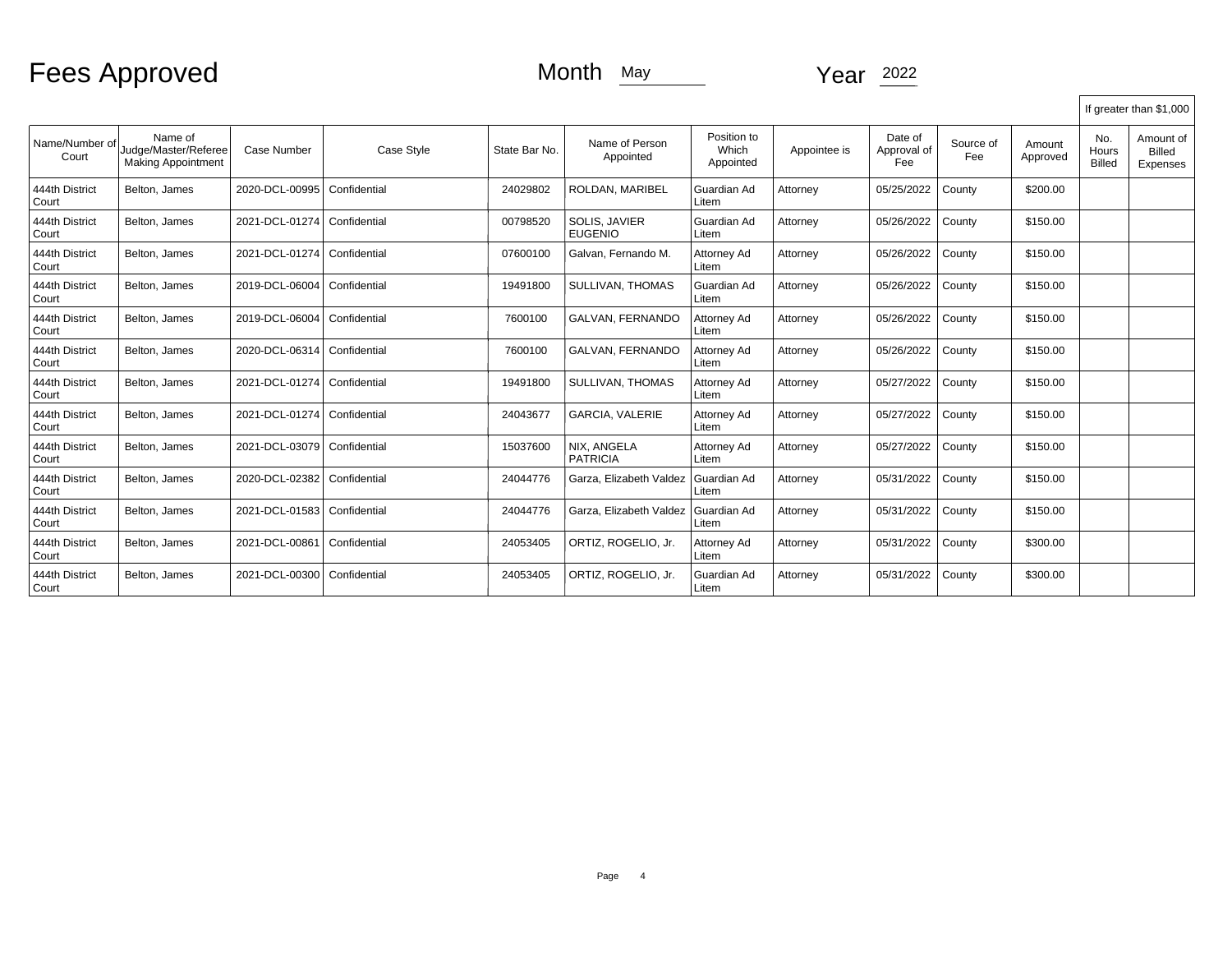# Fees Approved Month May Month May Year 2022

|                         |                                                              |                |              |               |                                 |                                   |              |                               |                  |                    |                               | If greater than \$1,000                |
|-------------------------|--------------------------------------------------------------|----------------|--------------|---------------|---------------------------------|-----------------------------------|--------------|-------------------------------|------------------|--------------------|-------------------------------|----------------------------------------|
| Name/Number of<br>Court | Name of<br>Judge/Master/Referee<br><b>Making Appointment</b> | Case Number    | Case Style   | State Bar No. | Name of Person<br>Appointed     | Position to<br>Which<br>Appointed | Appointee is | Date of<br>Approval of<br>Fee | Source of<br>Fee | Amount<br>Approved | No.<br>Hours<br><b>Billed</b> | Amount of<br><b>Billed</b><br>Expenses |
| 444th District<br>Court | Belton, James                                                | 2020-DCL-00995 | Confidential | 24029802      | ROLDAN, MARIBEL                 | Guardian Ad<br>Litem              | Attorney     | 05/25/2022                    | County           | \$200.00           |                               |                                        |
| 444th District<br>Court | Belton, James                                                | 2021-DCL-01274 | Confidential | 00798520      | SOLIS, JAVIER<br><b>EUGENIO</b> | Guardian Ad<br>Litem              | Attorney     | 05/26/2022                    | County           | \$150.00           |                               |                                        |
| 444th District<br>Court | Belton, James                                                | 2021-DCL-01274 | Confidential | 07600100      | Galvan, Fernando M.             | Attorney Ad<br>Litem              | Attorney     | 05/26/2022                    | County           | \$150.00           |                               |                                        |
| 444th District<br>Court | Belton, James                                                | 2019-DCL-06004 | Confidential | 19491800      | SULLIVAN, THOMAS                | Guardian Ad<br>Litem              | Attorney     | 05/26/2022                    | County           | \$150.00           |                               |                                        |
| 444th District<br>Court | Belton, James                                                | 2019-DCL-06004 | Confidential | 7600100       | GALVAN, FERNANDO                | Attorney Ad<br>Litem              | Attorney     | 05/26/2022                    | County           | \$150.00           |                               |                                        |
| 444th District<br>Court | Belton, James                                                | 2020-DCL-06314 | Confidential | 7600100       | GALVAN, FERNANDO                | Attorney Ad<br>Litem              | Attorney     | 05/26/2022                    | County           | \$150.00           |                               |                                        |
| 444th District<br>Court | Belton, James                                                | 2021-DCL-01274 | Confidential | 19491800      | SULLIVAN, THOMAS                | Attorney Ad<br>Litem              | Attorney     | 05/27/2022                    | County           | \$150.00           |                               |                                        |
| 444th District<br>Court | Belton, James                                                | 2021-DCL-01274 | Confidential | 24043677      | <b>GARCIA, VALERIE</b>          | Attorney Ad<br>Litem              | Attorney     | 05/27/2022                    | County           | \$150.00           |                               |                                        |
| 444th District<br>Court | Belton, James                                                | 2021-DCL-03079 | Confidential | 15037600      | NIX, ANGELA<br><b>PATRICIA</b>  | Attorney Ad<br>Litem              | Attorney     | 05/27/2022                    | County           | \$150.00           |                               |                                        |
| 444th District<br>Court | Belton, James                                                | 2020-DCL-02382 | Confidential | 24044776      | Garza, Elizabeth Valdez         | Guardian Ad<br>Litem              | Attorney     | 05/31/2022                    | County           | \$150.00           |                               |                                        |
| 444th District<br>Court | Belton, James                                                | 2021-DCL-01583 | Confidential | 24044776      | Garza, Elizabeth Valdez         | Guardian Ad<br>Litem              | Attorney     | 05/31/2022                    | County           | \$150.00           |                               |                                        |
| 444th District<br>Court | Belton, James                                                | 2021-DCL-00861 | Confidential | 24053405      | ORTIZ, ROGELIO, Jr.             | Attorney Ad<br>Litem              | Attorney     | 05/31/2022                    | County           | \$300.00           |                               |                                        |
| 444th District<br>Court | Belton, James                                                | 2021-DCL-00300 | Confidential | 24053405      | ORTIZ, ROGELIO, Jr.             | Guardian Ad<br>Litem              | Attorney     | 05/31/2022                    | County           | \$300.00           |                               |                                        |